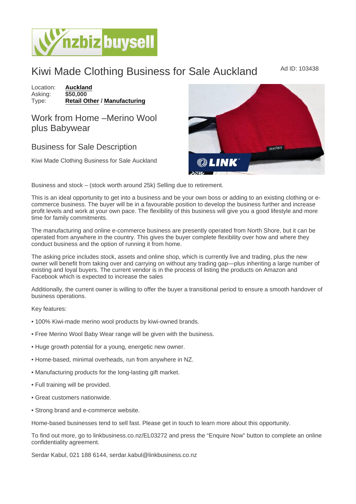## Kiwi Made Clothing Business for Sale Auckland Mad ID: 103438

Location: **[Auckland](https://www.nzbizbuysell.co.nz/businesses-for-sale/location/Auckland)**<br>Asking: \$50,000 Asking:<br>Type: [Retail Other](https://www.nzbizbuysell.co.nz/businesses-for-sale/Retail-Other/New-Zealand) / [Manufacturing](https://www.nzbizbuysell.co.nz/businesses-for-sale/Manufacturing/New-Zealand)

## Work from Home –Merino Wool plus Babywear

## Business for Sale Description

Kiwi Made Clothing Business for Sale Auckland

Business and stock – (stock worth around 25k) Selling due to retirement.

This is an ideal opportunity to get into a business and be your own boss or adding to an existing clothing or ecommerce business. The buyer will be in a favourable position to develop the business further and increase profit levels and work at your own pace. The flexibility of this business will give you a good lifestyle and more time for family commitments.

The manufacturing and online e-commerce business are presently operated from North Shore, but it can be operated from anywhere in the country. This gives the buyer complete flexibility over how and where they conduct business and the option of running it from home.

The asking price includes stock, assets and online shop, which is currently live and trading, plus the new owner will benefit from taking over and carrying on without any trading gap—plus inheriting a large number of existing and loyal buyers. The current vendor is in the process of listing the products on Amazon and Facebook which is expected to increase the sales

Additionally, the current owner is willing to offer the buyer a transitional period to ensure a smooth handover of business operations.

Key features:

- 100% Kiwi-made merino wool products by kiwi-owned brands.
- Free Merino Wool Baby Wear range will be given with the business.
- Huge growth potential for a young, energetic new owner.
- Home-based, minimal overheads, run from anywhere in NZ.
- Manufacturing products for the long-lasting gift market.
- Full training will be provided.
- Great customers nationwide.
- Strong brand and e-commerce website.

Home-based businesses tend to sell fast. Please get in touch to learn more about this opportunity.

To find out more, go to linkbusiness.co.nz/EL03272 and press the "Enquire Now" button to complete an online confidentiality agreement.

Serdar Kabul, 021 188 6144, serdar.kabul@linkbusiness.co.nz